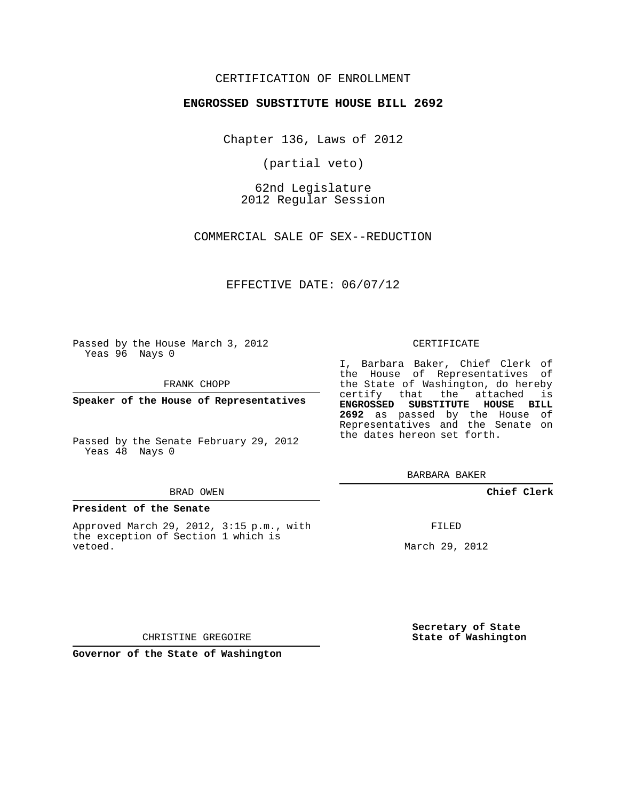# CERTIFICATION OF ENROLLMENT

### **ENGROSSED SUBSTITUTE HOUSE BILL 2692**

Chapter 136, Laws of 2012

(partial veto)

62nd Legislature 2012 Regular Session

COMMERCIAL SALE OF SEX--REDUCTION

EFFECTIVE DATE: 06/07/12

Passed by the House March 3, 2012 Yeas 96 Nays 0

FRANK CHOPP

**Speaker of the House of Representatives**

Passed by the Senate February 29, 2012 Yeas 48 Nays 0

#### BRAD OWEN

#### **President of the Senate**

Approved March 29, 2012, 3:15 p.m., with the exception of Section 1 which is vetoed.

CERTIFICATE

I, Barbara Baker, Chief Clerk of the House of Representatives of the State of Washington, do hereby certify that the attached is **ENGROSSED SUBSTITUTE HOUSE BILL 2692** as passed by the House of Representatives and the Senate on the dates hereon set forth.

BARBARA BAKER

**Chief Clerk**

FILED

March 29, 2012

**Secretary of State State of Washington**

CHRISTINE GREGOIRE

**Governor of the State of Washington**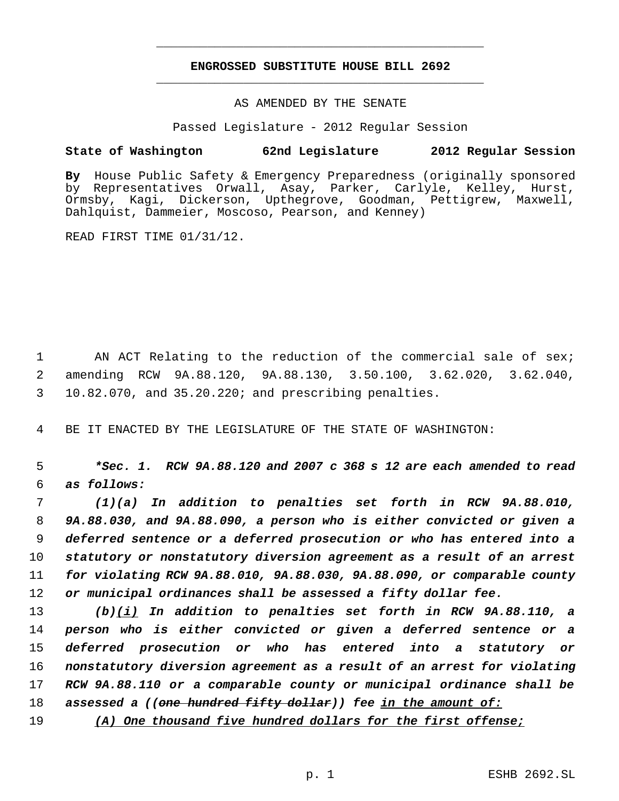# **ENGROSSED SUBSTITUTE HOUSE BILL 2692** \_\_\_\_\_\_\_\_\_\_\_\_\_\_\_\_\_\_\_\_\_\_\_\_\_\_\_\_\_\_\_\_\_\_\_\_\_\_\_\_\_\_\_\_\_

\_\_\_\_\_\_\_\_\_\_\_\_\_\_\_\_\_\_\_\_\_\_\_\_\_\_\_\_\_\_\_\_\_\_\_\_\_\_\_\_\_\_\_\_\_

AS AMENDED BY THE SENATE

Passed Legislature - 2012 Regular Session

## **State of Washington 62nd Legislature 2012 Regular Session**

**By** House Public Safety & Emergency Preparedness (originally sponsored by Representatives Orwall, Asay, Parker, Carlyle, Kelley, Hurst, Ormsby, Kagi, Dickerson, Upthegrove, Goodman, Pettigrew, Maxwell, Dahlquist, Dammeier, Moscoso, Pearson, and Kenney)

READ FIRST TIME 01/31/12.

1 AN ACT Relating to the reduction of the commercial sale of sex; 2 amending RCW 9A.88.120, 9A.88.130, 3.50.100, 3.62.020, 3.62.040, 3 10.82.070, and 35.20.220; and prescribing penalties.

4 BE IT ENACTED BY THE LEGISLATURE OF THE STATE OF WASHINGTON:

 5 *\*Sec. 1. RCW 9A.88.120 and 2007 c 368 s 12 are each amended to read* 6 *as follows:*

 *(1)(a) In addition to penalties set forth in RCW 9A.88.010, 9A.88.030, and 9A.88.090, a person who is either convicted or given a deferred sentence or a deferred prosecution or who has entered into a statutory or nonstatutory diversion agreement as a result of an arrest for violating RCW 9A.88.010, 9A.88.030, 9A.88.090, or comparable county or municipal ordinances shall be assessed a fifty dollar fee.*

 *(b)(i) In addition to penalties set forth in RCW 9A.88.110, a person who is either convicted or given a deferred sentence or a deferred prosecution or who has entered into a statutory or nonstatutory diversion agreement as a result of an arrest for violating RCW 9A.88.110 or a comparable county or municipal ordinance shall be assessed a ((one hundred fifty dollar)) fee in the amount of:*

19 *(A) One thousand five hundred dollars for the first offense;*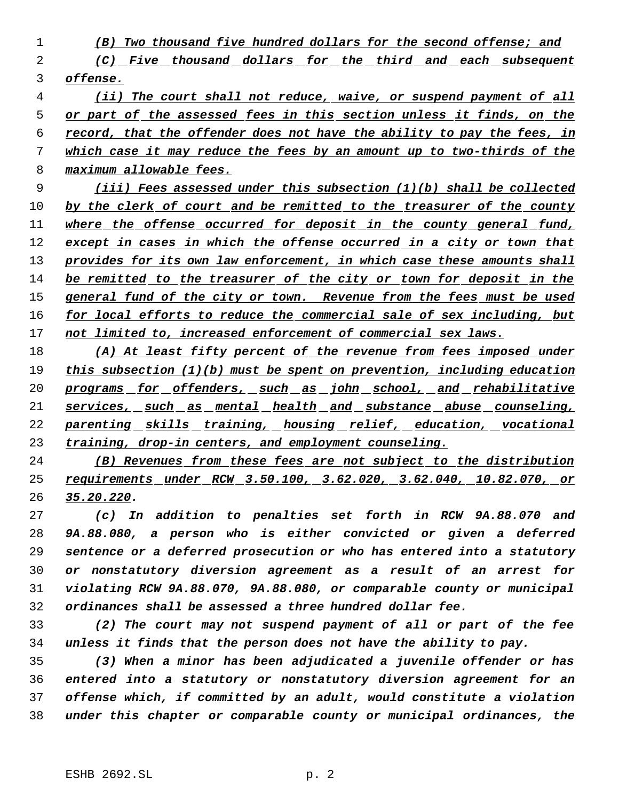- *(B) Two thousand five hundred dollars for the second offense; and (C) Five thousand dollars for the third and each subsequent offense.*
- *(ii) The court shall not reduce, waive, or suspend payment of all or part of the assessed fees in this section unless it finds, on the record, that the offender does not have the ability to pay the fees, in which case it may reduce the fees by an amount up to two-thirds of the maximum allowable fees.*

 *(iii) Fees assessed under this subsection (1)(b) shall be collected by the clerk of court and be remitted to the treasurer of the county where the offense occurred for deposit in the county general fund, except in cases in which the offense occurred in a city or town that provides for its own law enforcement, in which case these amounts shall be remitted to the treasurer of the city or town for deposit in the general fund of the city or town. Revenue from the fees must be used for local efforts to reduce the commercial sale of sex including, but not limited to, increased enforcement of commercial sex laws.*

 *(A) At least fifty percent of the revenue from fees imposed under this subsection (1)(b) must be spent on prevention, including education programs for offenders, such as john school, and rehabilitative services, such as mental health and substance abuse counseling, parenting skills training, housing relief, education, vocational training, drop-in centers, and employment counseling.*

 *(B) Revenues from these fees are not subject to the distribution requirements under RCW 3.50.100, 3.62.020, 3.62.040, 10.82.070, or 35.20.220.*

 *(c) In addition to penalties set forth in RCW 9A.88.070 and 9A.88.080, a person who is either convicted or given a deferred sentence or a deferred prosecution or who has entered into a statutory or nonstatutory diversion agreement as a result of an arrest for violating RCW 9A.88.070, 9A.88.080, or comparable county or municipal ordinances shall be assessed a three hundred dollar fee.*

 *(2) The court may not suspend payment of all or part of the fee unless it finds that the person does not have the ability to pay.*

 *(3) When a minor has been adjudicated a juvenile offender or has entered into a statutory or nonstatutory diversion agreement for an offense which, if committed by an adult, would constitute a violation under this chapter or comparable county or municipal ordinances, the*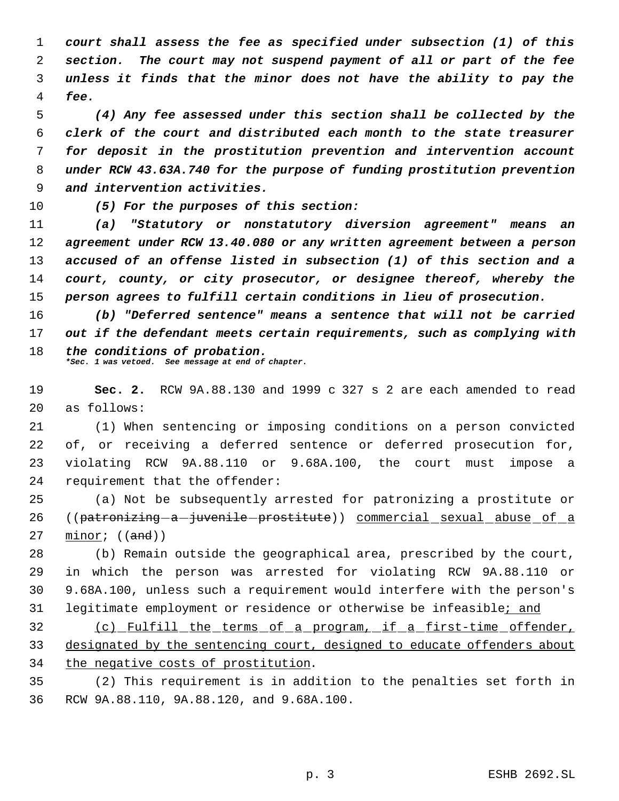*court shall assess the fee as specified under subsection (1) of this section. The court may not suspend payment of all or part of the fee unless it finds that the minor does not have the ability to pay the fee.*

 *(4) Any fee assessed under this section shall be collected by the clerk of the court and distributed each month to the state treasurer for deposit in the prostitution prevention and intervention account under RCW 43.63A.740 for the purpose of funding prostitution prevention and intervention activities.*

*(5) For the purposes of this section:*

 *(a) "Statutory or nonstatutory diversion agreement" means an agreement under RCW 13.40.080 or any written agreement between a person accused of an offense listed in subsection (1) of this section and a court, county, or city prosecutor, or designee thereof, whereby the person agrees to fulfill certain conditions in lieu of prosecution.*

 *(b) "Deferred sentence" means a sentence that will not be carried out if the defendant meets certain requirements, such as complying with the conditions of probation. \*Sec. 1 was vetoed. See message at end of chapter.*

 **Sec. 2.** RCW 9A.88.130 and 1999 c 327 s 2 are each amended to read as follows:

 (1) When sentencing or imposing conditions on a person convicted 22 of, or receiving a deferred sentence or deferred prosecution for, violating RCW 9A.88.110 or 9.68A.100, the court must impose a requirement that the offender:

 (a) Not be subsequently arrested for patronizing a prostitute or 26 ((patronizing-a-juvenile-prostitute)) commercial sexual abuse of a minor;  $((and))$ 

 (b) Remain outside the geographical area, prescribed by the court, in which the person was arrested for violating RCW 9A.88.110 or 9.68A.100, unless such a requirement would interfere with the person's legitimate employment or residence or otherwise be infeasible; and

 (c) Fulfill the terms of a program, if a first-time offender, designated by the sentencing court, designed to educate offenders about the negative costs of prostitution.

 (2) This requirement is in addition to the penalties set forth in RCW 9A.88.110, 9A.88.120, and 9.68A.100.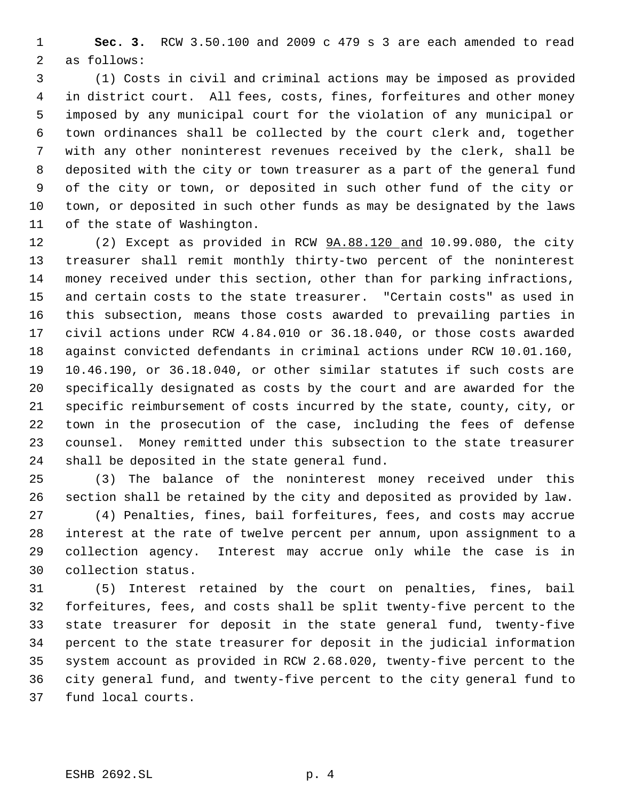**Sec. 3.** RCW 3.50.100 and 2009 c 479 s 3 are each amended to read as follows:

 (1) Costs in civil and criminal actions may be imposed as provided in district court. All fees, costs, fines, forfeitures and other money imposed by any municipal court for the violation of any municipal or town ordinances shall be collected by the court clerk and, together with any other noninterest revenues received by the clerk, shall be deposited with the city or town treasurer as a part of the general fund of the city or town, or deposited in such other fund of the city or town, or deposited in such other funds as may be designated by the laws of the state of Washington.

12 (2) Except as provided in RCW  $9A.88.120$  and 10.99.080, the city treasurer shall remit monthly thirty-two percent of the noninterest money received under this section, other than for parking infractions, and certain costs to the state treasurer. "Certain costs" as used in this subsection, means those costs awarded to prevailing parties in civil actions under RCW 4.84.010 or 36.18.040, or those costs awarded against convicted defendants in criminal actions under RCW 10.01.160, 10.46.190, or 36.18.040, or other similar statutes if such costs are specifically designated as costs by the court and are awarded for the specific reimbursement of costs incurred by the state, county, city, or town in the prosecution of the case, including the fees of defense counsel. Money remitted under this subsection to the state treasurer shall be deposited in the state general fund.

 (3) The balance of the noninterest money received under this section shall be retained by the city and deposited as provided by law. (4) Penalties, fines, bail forfeitures, fees, and costs may accrue interest at the rate of twelve percent per annum, upon assignment to a collection agency. Interest may accrue only while the case is in collection status.

 (5) Interest retained by the court on penalties, fines, bail forfeitures, fees, and costs shall be split twenty-five percent to the state treasurer for deposit in the state general fund, twenty-five percent to the state treasurer for deposit in the judicial information system account as provided in RCW 2.68.020, twenty-five percent to the city general fund, and twenty-five percent to the city general fund to fund local courts.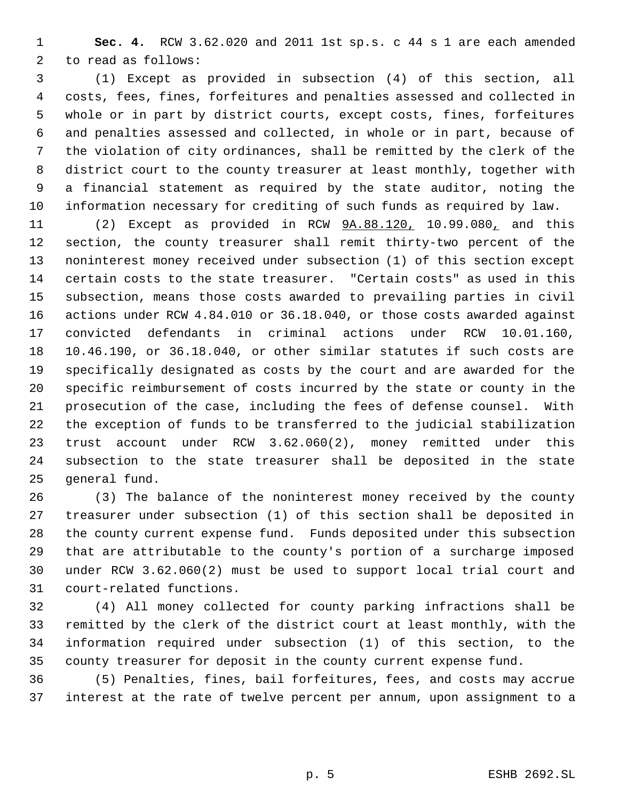**Sec. 4.** RCW 3.62.020 and 2011 1st sp.s. c 44 s 1 are each amended to read as follows:

 (1) Except as provided in subsection (4) of this section, all costs, fees, fines, forfeitures and penalties assessed and collected in whole or in part by district courts, except costs, fines, forfeitures and penalties assessed and collected, in whole or in part, because of the violation of city ordinances, shall be remitted by the clerk of the district court to the county treasurer at least monthly, together with a financial statement as required by the state auditor, noting the information necessary for crediting of such funds as required by law.

 (2) Except as provided in RCW 9A.88.120, 10.99.080, and this section, the county treasurer shall remit thirty-two percent of the noninterest money received under subsection (1) of this section except certain costs to the state treasurer. "Certain costs" as used in this subsection, means those costs awarded to prevailing parties in civil actions under RCW 4.84.010 or 36.18.040, or those costs awarded against convicted defendants in criminal actions under RCW 10.01.160, 10.46.190, or 36.18.040, or other similar statutes if such costs are specifically designated as costs by the court and are awarded for the specific reimbursement of costs incurred by the state or county in the prosecution of the case, including the fees of defense counsel. With the exception of funds to be transferred to the judicial stabilization trust account under RCW 3.62.060(2), money remitted under this subsection to the state treasurer shall be deposited in the state general fund.

 (3) The balance of the noninterest money received by the county treasurer under subsection (1) of this section shall be deposited in the county current expense fund. Funds deposited under this subsection that are attributable to the county's portion of a surcharge imposed under RCW 3.62.060(2) must be used to support local trial court and court-related functions.

 (4) All money collected for county parking infractions shall be remitted by the clerk of the district court at least monthly, with the information required under subsection (1) of this section, to the county treasurer for deposit in the county current expense fund.

 (5) Penalties, fines, bail forfeitures, fees, and costs may accrue interest at the rate of twelve percent per annum, upon assignment to a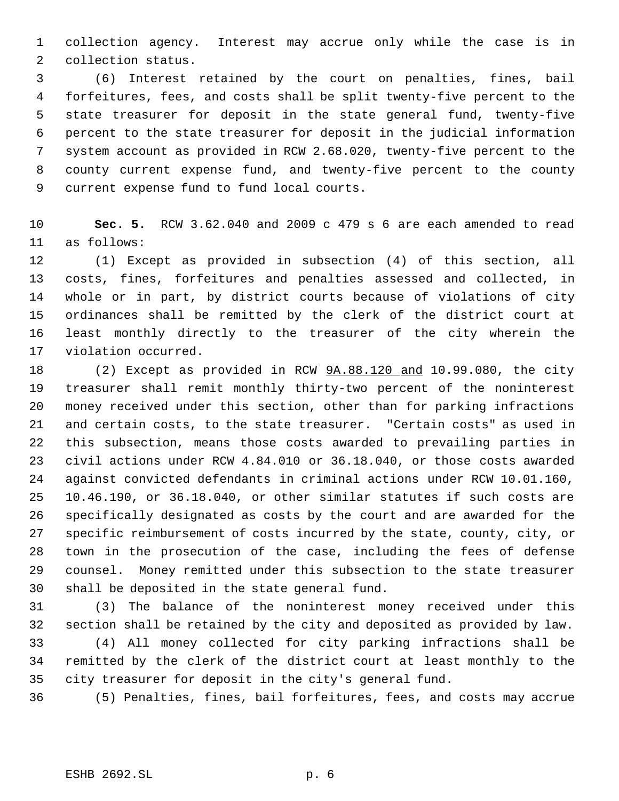collection agency. Interest may accrue only while the case is in collection status.

 (6) Interest retained by the court on penalties, fines, bail forfeitures, fees, and costs shall be split twenty-five percent to the state treasurer for deposit in the state general fund, twenty-five percent to the state treasurer for deposit in the judicial information system account as provided in RCW 2.68.020, twenty-five percent to the county current expense fund, and twenty-five percent to the county current expense fund to fund local courts.

 **Sec. 5.** RCW 3.62.040 and 2009 c 479 s 6 are each amended to read as follows:

 (1) Except as provided in subsection (4) of this section, all costs, fines, forfeitures and penalties assessed and collected, in whole or in part, by district courts because of violations of city ordinances shall be remitted by the clerk of the district court at least monthly directly to the treasurer of the city wherein the violation occurred.

 (2) Except as provided in RCW 9A.88.120 and 10.99.080, the city treasurer shall remit monthly thirty-two percent of the noninterest money received under this section, other than for parking infractions and certain costs, to the state treasurer. "Certain costs" as used in this subsection, means those costs awarded to prevailing parties in civil actions under RCW 4.84.010 or 36.18.040, or those costs awarded against convicted defendants in criminal actions under RCW 10.01.160, 10.46.190, or 36.18.040, or other similar statutes if such costs are specifically designated as costs by the court and are awarded for the specific reimbursement of costs incurred by the state, county, city, or town in the prosecution of the case, including the fees of defense counsel. Money remitted under this subsection to the state treasurer shall be deposited in the state general fund.

 (3) The balance of the noninterest money received under this section shall be retained by the city and deposited as provided by law. (4) All money collected for city parking infractions shall be remitted by the clerk of the district court at least monthly to the city treasurer for deposit in the city's general fund.

(5) Penalties, fines, bail forfeitures, fees, and costs may accrue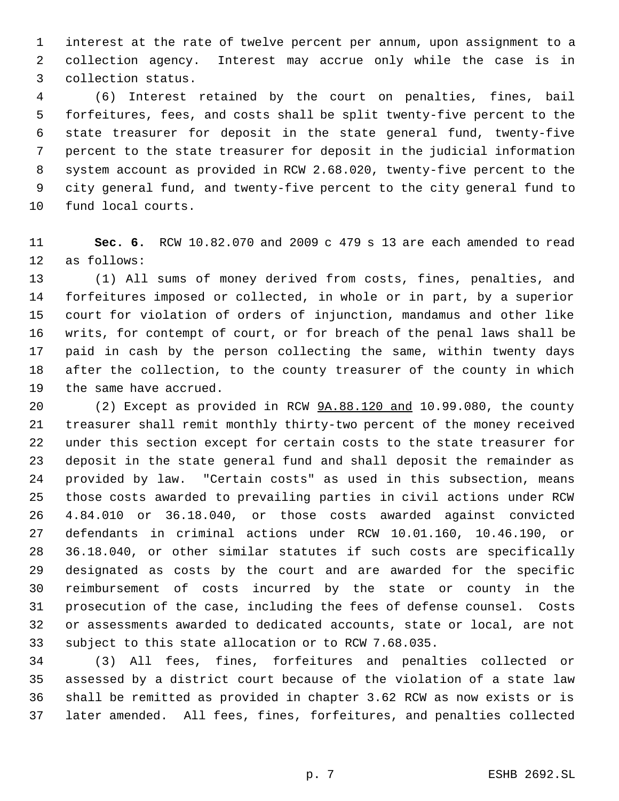interest at the rate of twelve percent per annum, upon assignment to a collection agency. Interest may accrue only while the case is in collection status.

 (6) Interest retained by the court on penalties, fines, bail forfeitures, fees, and costs shall be split twenty-five percent to the state treasurer for deposit in the state general fund, twenty-five percent to the state treasurer for deposit in the judicial information system account as provided in RCW 2.68.020, twenty-five percent to the city general fund, and twenty-five percent to the city general fund to fund local courts.

 **Sec. 6.** RCW 10.82.070 and 2009 c 479 s 13 are each amended to read as follows:

 (1) All sums of money derived from costs, fines, penalties, and forfeitures imposed or collected, in whole or in part, by a superior court for violation of orders of injunction, mandamus and other like writs, for contempt of court, or for breach of the penal laws shall be paid in cash by the person collecting the same, within twenty days after the collection, to the county treasurer of the county in which the same have accrued.

 (2) Except as provided in RCW 9A.88.120 and 10.99.080, the county treasurer shall remit monthly thirty-two percent of the money received under this section except for certain costs to the state treasurer for deposit in the state general fund and shall deposit the remainder as provided by law. "Certain costs" as used in this subsection, means those costs awarded to prevailing parties in civil actions under RCW 4.84.010 or 36.18.040, or those costs awarded against convicted defendants in criminal actions under RCW 10.01.160, 10.46.190, or 36.18.040, or other similar statutes if such costs are specifically designated as costs by the court and are awarded for the specific reimbursement of costs incurred by the state or county in the prosecution of the case, including the fees of defense counsel. Costs or assessments awarded to dedicated accounts, state or local, are not subject to this state allocation or to RCW 7.68.035.

 (3) All fees, fines, forfeitures and penalties collected or assessed by a district court because of the violation of a state law shall be remitted as provided in chapter 3.62 RCW as now exists or is later amended. All fees, fines, forfeitures, and penalties collected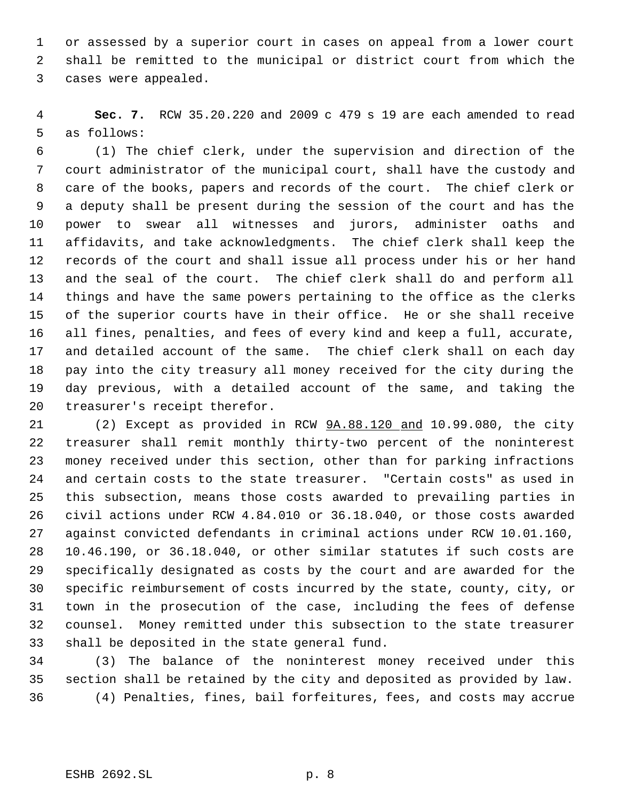or assessed by a superior court in cases on appeal from a lower court shall be remitted to the municipal or district court from which the cases were appealed.

 **Sec. 7.** RCW 35.20.220 and 2009 c 479 s 19 are each amended to read as follows:

 (1) The chief clerk, under the supervision and direction of the court administrator of the municipal court, shall have the custody and care of the books, papers and records of the court. The chief clerk or a deputy shall be present during the session of the court and has the power to swear all witnesses and jurors, administer oaths and affidavits, and take acknowledgments. The chief clerk shall keep the records of the court and shall issue all process under his or her hand and the seal of the court. The chief clerk shall do and perform all things and have the same powers pertaining to the office as the clerks of the superior courts have in their office. He or she shall receive all fines, penalties, and fees of every kind and keep a full, accurate, and detailed account of the same. The chief clerk shall on each day pay into the city treasury all money received for the city during the day previous, with a detailed account of the same, and taking the treasurer's receipt therefor.

 (2) Except as provided in RCW 9A.88.120 and 10.99.080, the city treasurer shall remit monthly thirty-two percent of the noninterest money received under this section, other than for parking infractions and certain costs to the state treasurer. "Certain costs" as used in this subsection, means those costs awarded to prevailing parties in civil actions under RCW 4.84.010 or 36.18.040, or those costs awarded against convicted defendants in criminal actions under RCW 10.01.160, 10.46.190, or 36.18.040, or other similar statutes if such costs are specifically designated as costs by the court and are awarded for the specific reimbursement of costs incurred by the state, county, city, or town in the prosecution of the case, including the fees of defense counsel. Money remitted under this subsection to the state treasurer shall be deposited in the state general fund.

 (3) The balance of the noninterest money received under this section shall be retained by the city and deposited as provided by law. (4) Penalties, fines, bail forfeitures, fees, and costs may accrue